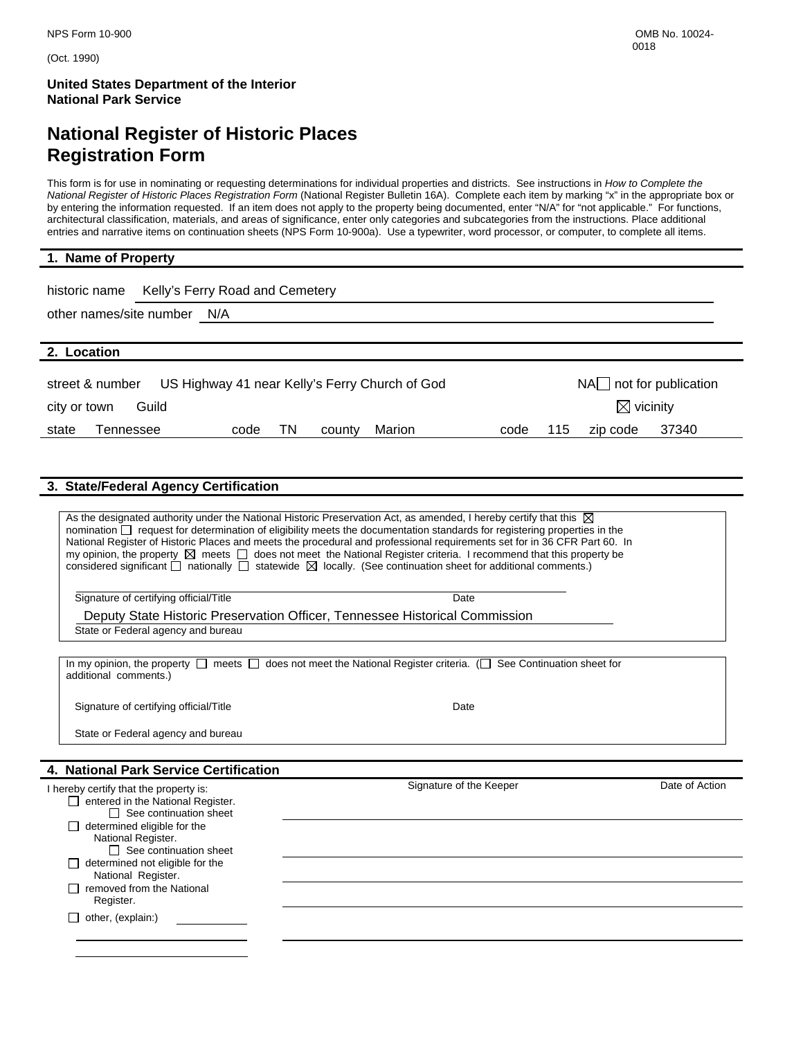(Oct. 1990)

**United States Department of the Interior National Park Service** 

# **National Register of Historic Places Registration Form**

This form is for use in nominating or requesting determinations for individual properties and districts. See instructions in *How to Complete the National Register of Historic Places Registration Form* (National Register Bulletin 16A). Complete each item by marking "x" in the appropriate box or by entering the information requested. If an item does not apply to the property being documented, enter "N/A" for "not applicable." For functions, architectural classification, materials, and areas of significance, enter only categories and subcategories from the instructions. Place additional entries and narrative items on continuation sheets (NPS Form 10-900a). Use a typewriter, word processor, or computer, to complete all items.

| 1. Name of Property                                                                           |                                  |  |  |  |  |
|-----------------------------------------------------------------------------------------------|----------------------------------|--|--|--|--|
| Kelly's Ferry Road and Cemetery<br>historic name                                              |                                  |  |  |  |  |
| other names/site number N/A                                                                   |                                  |  |  |  |  |
|                                                                                               |                                  |  |  |  |  |
| 2. Location                                                                                   |                                  |  |  |  |  |
| $NA$ not for publication<br>US Highway 41 near Kelly's Ferry Church of God<br>street & number |                                  |  |  |  |  |
| $\boxtimes$ vicinity<br>Guild<br>city or town                                                 |                                  |  |  |  |  |
| TN<br>Marion<br>Tennessee<br>state<br>code<br>county                                          | 37340<br>115<br>zip code<br>code |  |  |  |  |

#### **3. State/Federal Agency Certification**

 $\Box$  determined eligible for the National Register.

 Register.  $\Box$  other, (explain:)

 $\Box$  determined not eligible for the National Register.  $\Box$  removed from the National

 $\Box$  See continuation sheet

|                                                                                                              | As the designated authority under the National Historic Preservation Act, as amended, I hereby certify that this $\boxtimes$<br>nomination $\Box$ request for determination of eligibility meets the documentation standards for registering properties in the<br>National Register of Historic Places and meets the procedural and professional requirements set for in 36 CFR Part 60. In<br>my opinion, the property $\boxtimes$ meets $\Box$ does not meet the National Register criteria. I recommend that this property be<br>considered significant $\Box$ nationally $\Box$ statewide $\boxtimes$ locally. (See continuation sheet for additional comments.) |                |
|--------------------------------------------------------------------------------------------------------------|----------------------------------------------------------------------------------------------------------------------------------------------------------------------------------------------------------------------------------------------------------------------------------------------------------------------------------------------------------------------------------------------------------------------------------------------------------------------------------------------------------------------------------------------------------------------------------------------------------------------------------------------------------------------|----------------|
| Signature of certifying official/Title                                                                       | Date                                                                                                                                                                                                                                                                                                                                                                                                                                                                                                                                                                                                                                                                 |                |
|                                                                                                              | Deputy State Historic Preservation Officer, Tennessee Historical Commission                                                                                                                                                                                                                                                                                                                                                                                                                                                                                                                                                                                          |                |
| State or Federal agency and bureau                                                                           |                                                                                                                                                                                                                                                                                                                                                                                                                                                                                                                                                                                                                                                                      |                |
|                                                                                                              |                                                                                                                                                                                                                                                                                                                                                                                                                                                                                                                                                                                                                                                                      |                |
| In my opinion, the property $\Box$ meets $\Box$<br>additional comments.)                                     | does not meet the National Register criteria. $\Box$ See Continuation sheet for                                                                                                                                                                                                                                                                                                                                                                                                                                                                                                                                                                                      |                |
| Signature of certifying official/Title                                                                       | Date                                                                                                                                                                                                                                                                                                                                                                                                                                                                                                                                                                                                                                                                 |                |
| State or Federal agency and bureau                                                                           |                                                                                                                                                                                                                                                                                                                                                                                                                                                                                                                                                                                                                                                                      |                |
|                                                                                                              |                                                                                                                                                                                                                                                                                                                                                                                                                                                                                                                                                                                                                                                                      |                |
| 4. National Park Service Certification                                                                       |                                                                                                                                                                                                                                                                                                                                                                                                                                                                                                                                                                                                                                                                      |                |
| I hereby certify that the property is:<br>$\Box$ entered in the National Register.<br>See continuation sheet | Signature of the Keeper                                                                                                                                                                                                                                                                                                                                                                                                                                                                                                                                                                                                                                              | Date of Action |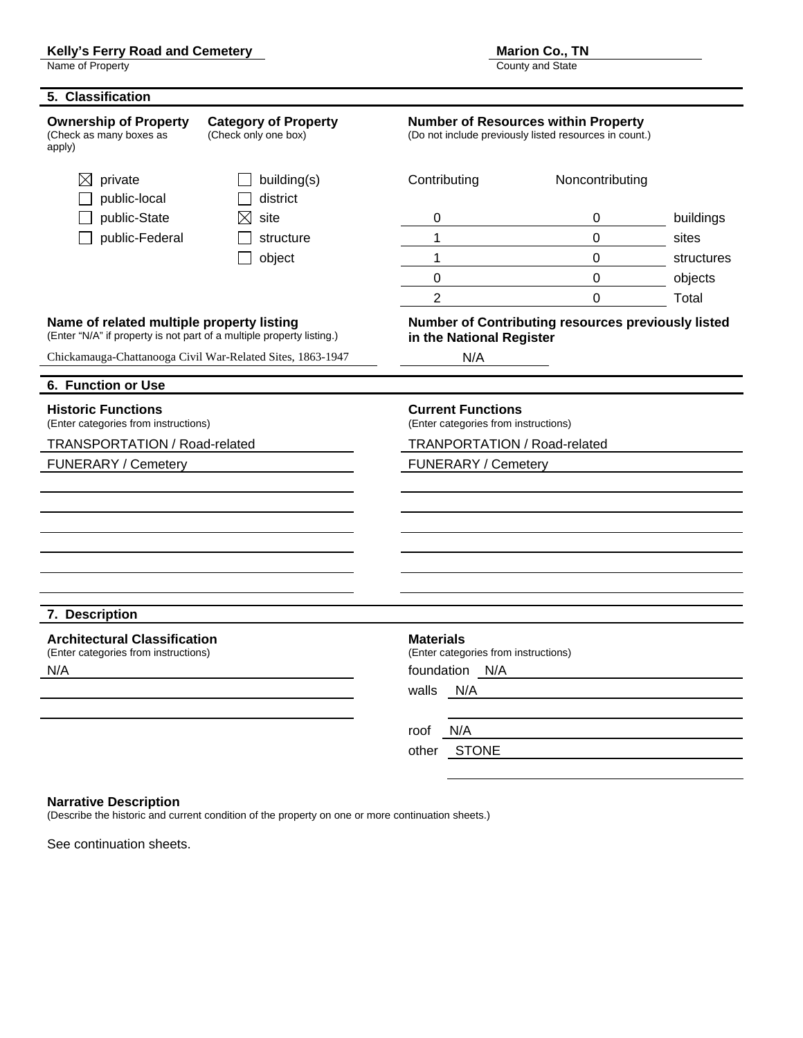#### Kelly's Ferry Road and Cemetery **Marion Co., TN** Marion Co., TN

Name of Property **County Act and State** County and State County and State County and State County and State County and State County and State County and State County and State County and State County and State County and S

| 5. Classification                                                                                                  |                                                     |                                                                                                      |                                                    |            |  |  |
|--------------------------------------------------------------------------------------------------------------------|-----------------------------------------------------|------------------------------------------------------------------------------------------------------|----------------------------------------------------|------------|--|--|
| <b>Ownership of Property</b><br>(Check as many boxes as<br>apply)                                                  | <b>Category of Property</b><br>(Check only one box) | <b>Number of Resources within Property</b><br>(Do not include previously listed resources in count.) |                                                    |            |  |  |
| private<br>⊠<br>public-local                                                                                       | building(s)<br>district                             | Contributing                                                                                         | Noncontributing                                    |            |  |  |
| public-State                                                                                                       | site<br>⋈                                           | 0                                                                                                    | 0                                                  | buildings  |  |  |
| public-Federal                                                                                                     | structure                                           | 1                                                                                                    | $\overline{0}$                                     | sites      |  |  |
|                                                                                                                    | object                                              | $\mathbf 1$                                                                                          | $\overline{0}$                                     | structures |  |  |
|                                                                                                                    |                                                     | 0                                                                                                    | $\mathbf 0$                                        | objects    |  |  |
|                                                                                                                    |                                                     | $\overline{2}$                                                                                       | $\mathbf 0$                                        | Total      |  |  |
| Name of related multiple property listing<br>(Enter "N/A" if property is not part of a multiple property listing.) |                                                     | in the National Register                                                                             | Number of Contributing resources previously listed |            |  |  |
| Chickamauga-Chattanooga Civil War-Related Sites, 1863-1947                                                         |                                                     | N/A                                                                                                  |                                                    |            |  |  |
| 6. Function or Use                                                                                                 |                                                     |                                                                                                      |                                                    |            |  |  |
| <b>Historic Functions</b><br>(Enter categories from instructions)                                                  |                                                     | <b>Current Functions</b><br>(Enter categories from instructions)                                     |                                                    |            |  |  |
| TRANSPORTATION / Road-related                                                                                      |                                                     | TRANPORTATION / Road-related                                                                         |                                                    |            |  |  |
| <b>FUNERARY / Cemetery</b>                                                                                         |                                                     | FUNERARY / Cemetery                                                                                  |                                                    |            |  |  |
|                                                                                                                    |                                                     |                                                                                                      |                                                    |            |  |  |
|                                                                                                                    |                                                     |                                                                                                      |                                                    |            |  |  |
|                                                                                                                    |                                                     |                                                                                                      |                                                    |            |  |  |
|                                                                                                                    |                                                     |                                                                                                      |                                                    |            |  |  |
|                                                                                                                    |                                                     |                                                                                                      |                                                    |            |  |  |
|                                                                                                                    |                                                     |                                                                                                      |                                                    |            |  |  |
| 7. Description                                                                                                     |                                                     |                                                                                                      |                                                    |            |  |  |
| <b>Architectural Classification</b>                                                                                |                                                     | <b>Materials</b>                                                                                     |                                                    |            |  |  |
| (Enter categories from instructions)                                                                               |                                                     | (Enter categories from instructions)                                                                 |                                                    |            |  |  |
| N/A                                                                                                                |                                                     | foundation N/A                                                                                       |                                                    |            |  |  |
|                                                                                                                    |                                                     | N/A<br>walls                                                                                         |                                                    |            |  |  |
|                                                                                                                    |                                                     | N/A<br>roof                                                                                          |                                                    |            |  |  |
|                                                                                                                    |                                                     | <b>STONE</b><br>other                                                                                |                                                    |            |  |  |

#### **Narrative Description**

(Describe the historic and current condition of the property on one or more continuation sheets.)

See continuation sheets.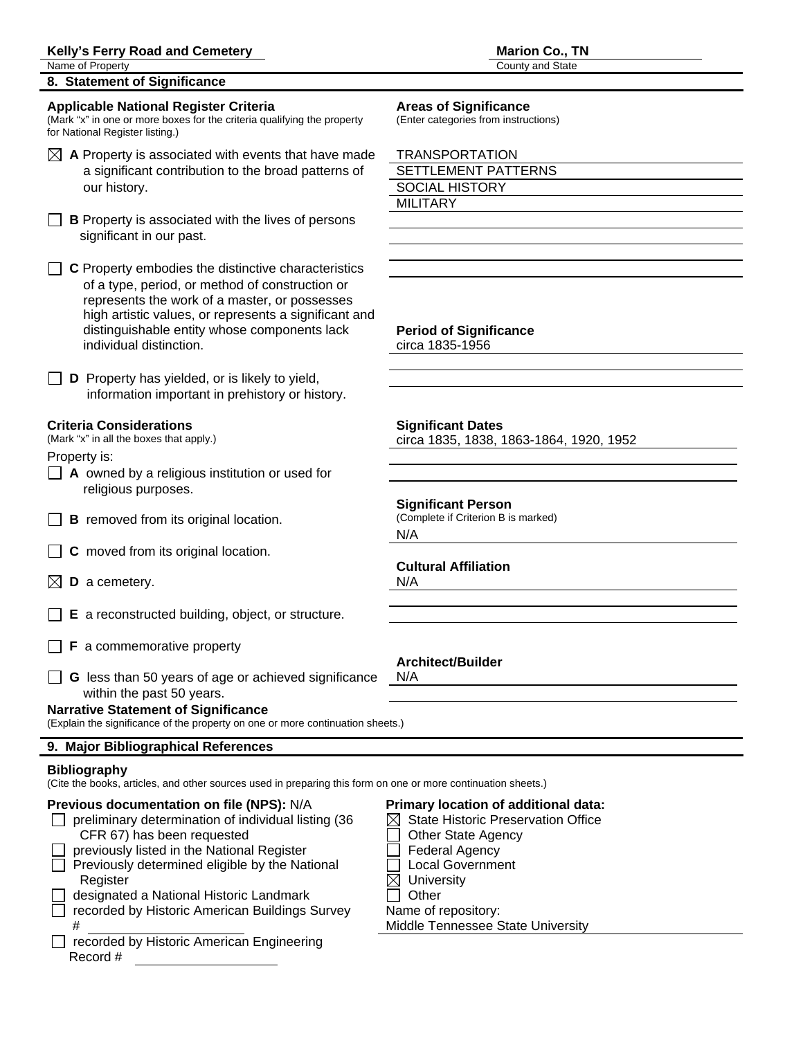#### Kelly's Ferry Road and Cemetery **Marion Co., TN Marion Co., TN**

Name of Property **County and State** 

**8. Statement of Significance** 

#### **Applicable National Register Criteria Areas of Significance**

(Mark "x" in one or more boxes for the criteria qualifying the property (Enter categories from instructions) for National Register listing.)

- $\boxtimes$  **A** Property is associated with events that have made a significant contribution to the broad patterns of our history.
- $\Box$  **B** Property is associated with the lives of persons significant in our past.

**C** Property embodies the distinctive characteristics of a type, period, or method of construction or represents the work of a master, or possesses high artistic values, or represents a significant and distinguishable entity whose components lack **Period of Significance** individual distinction. Circa 1835-1956

**D** Property has yielded, or is likely to yield, information important in prehistory or history.

### **Criteria Considerations Significant Dates**

Property is:

- **A** owned by a religious institution or used for religious purposes.
- **B** removed from its original location. (Complete if Criterion B is marked)
- **C** moved from its original location.
- $\boxtimes$  **D** a cemetery. N/A
- **E** a reconstructed building, object, or structure.
- $\Box$  **F** a commemorative property
- **G** less than 50 years of age or achieved significance N/A within the past 50 years.

### **Narrative Statement of Significance**

(Explain the significance of the property on one or more continuation sheets.)

#### **9. Major Bibliographical References**

#### **Bibliography**

(Cite the books, articles, and other sources used in preparing this form on one or more continuation sheets.)

#### **Previous documentation on file (NPS):** N/A **Primary location of additional data:**

- preliminary determination of individual listing  $(36 \times \boxtimes$  State Historic Preservation Office  $CFR 67$ ) has been requested  $\Box$  Other State Agency
- previously listed in the National Register **Federal Agency**  $\Box$  Previously determined eligible by the National  $\Box$  Local Government
	- Register  $\boxtimes$  University
	- designated a National Historic Landmark **Constanting Constanting Constanting Constanting Constanting Constanting Constanting Constanting Constanting Constanting Constanting Constanting Constanting Constanting Constanting C** recorded by Historic American Buildings Survey Name of repository:
- □ recorded by Historic American Engineering Record #

| $\boxtimes$ A Property is associated with events that have made | <b>TRANSPORTATION</b>      |
|-----------------------------------------------------------------|----------------------------|
| a significant contribution to the broad patterns of             | <b>SETTLEMENT PATTERNS</b> |
| our history.                                                    | <b>SOCIAL HISTORY</b>      |
|                                                                 | MILITARY                   |

(Mark "x" in all the boxes that apply.) circa 1835, 1838, 1863-1864, 1920, 1952

**Significant Person** N/A

### **Cultural Affiliation**

#### **Architect/Builder**

- 
- 
- 
- 

**Middle Tennessee State University**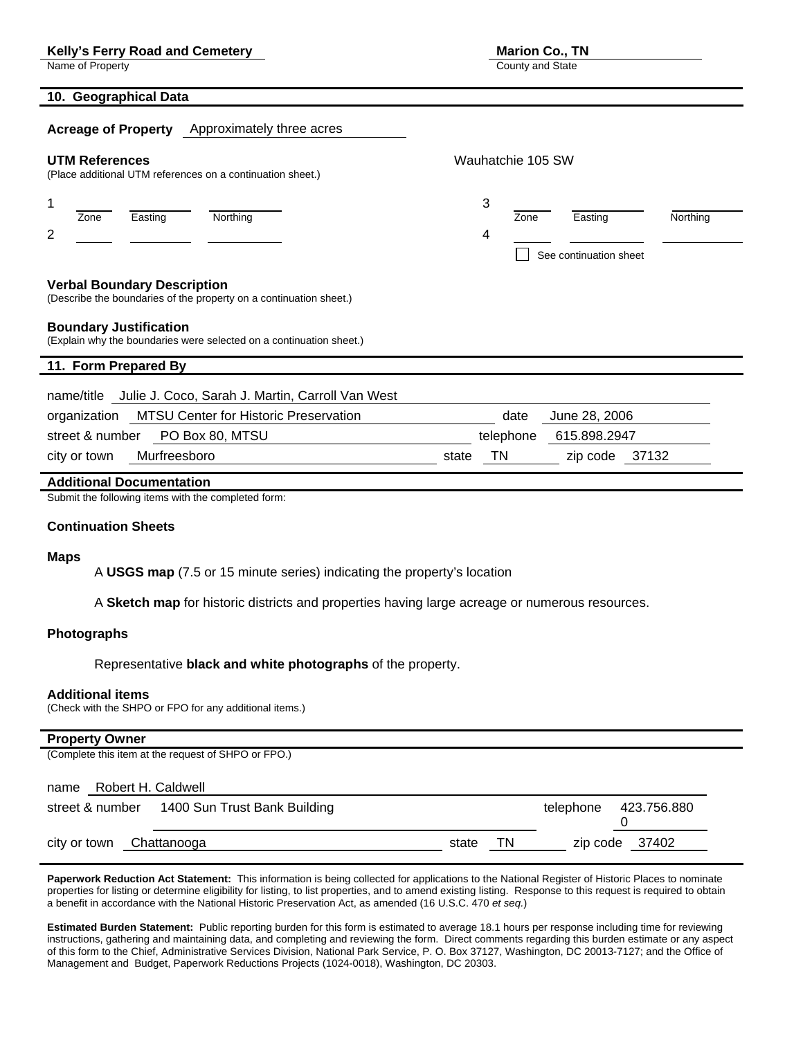#### Kelly's Ferry Road and Cemetery **Marion Co., TN** Marion Co., TN

Name of Property **County and State** 

### **10. Geographical Data**

| <b>Acreage of Property</b> Approximately three acres                                                                                                                                                             |       |                   |      |                                   |          |
|------------------------------------------------------------------------------------------------------------------------------------------------------------------------------------------------------------------|-------|-------------------|------|-----------------------------------|----------|
| <b>UTM References</b><br>(Place additional UTM references on a continuation sheet.)                                                                                                                              |       | Wauhatchie 105 SW |      |                                   |          |
| 1<br>Zone<br>Easting<br>Northing<br>2                                                                                                                                                                            |       | 3<br>4            | Zone | Easting<br>See continuation sheet | Northing |
| <b>Verbal Boundary Description</b><br>(Describe the boundaries of the property on a continuation sheet.)<br><b>Boundary Justification</b><br>(Explain why the boundaries were selected on a continuation sheet.) |       |                   |      |                                   |          |
| 11. Form Prepared By                                                                                                                                                                                             |       |                   |      |                                   |          |
| Julie J. Coco, Sarah J. Martin, Carroll Van West<br>name/title<br><b>MTSU Center for Historic Preservation</b><br>organization<br>PO Box 80, MTSU<br>street & number                                             |       | telephone         | date | June 28, 2006<br>615.898.2947     |          |
| Murfreesboro<br>city or town                                                                                                                                                                                     | state | <b>TN</b>         |      | zip code                          | 37132    |
| <b>Additional Documentation</b>                                                                                                                                                                                  |       |                   |      |                                   |          |

Submit the following items with the completed form:

#### **Continuation Sheets**

#### **Maps**

A **USGS map** (7.5 or 15 minute series) indicating the property's location

A **Sketch map** for historic districts and properties having large acreage or numerous resources.

#### **Photographs**

Representative **black and white photographs** of the property.

#### **Additional items**

(Check with the SHPO or FPO for any additional items.)

#### **Property Owner**

(Complete this item at the request of SHPO or FPO.)

| Robert H. Caldwell<br>name                      |       |    |                       |
|-------------------------------------------------|-------|----|-----------------------|
| 1400 Sun Trust Bank Building<br>street & number |       |    | telephone 423.756.880 |
| Chattanooga<br>city or town                     | state | ΤN | zip code 37402        |

Paperwork Reduction Act Statement: This information is being collected for applications to the National Register of Historic Places to nominate properties for listing or determine eligibility for listing, to list properties, and to amend existing listing. Response to this request is required to obtain a benefit in accordance with the National Historic Preservation Act, as amended (16 U.S.C. 470 *et seq.*)

**Estimated Burden Statement:** Public reporting burden for this form is estimated to average 18.1 hours per response including time for reviewing instructions, gathering and maintaining data, and completing and reviewing the form. Direct comments regarding this burden estimate or any aspect of this form to the Chief, Administrative Services Division, National Park Service, P. O. Box 37127, Washington, DC 20013-7127; and the Office of Management and Budget, Paperwork Reductions Projects (1024-0018), Washington, DC 20303.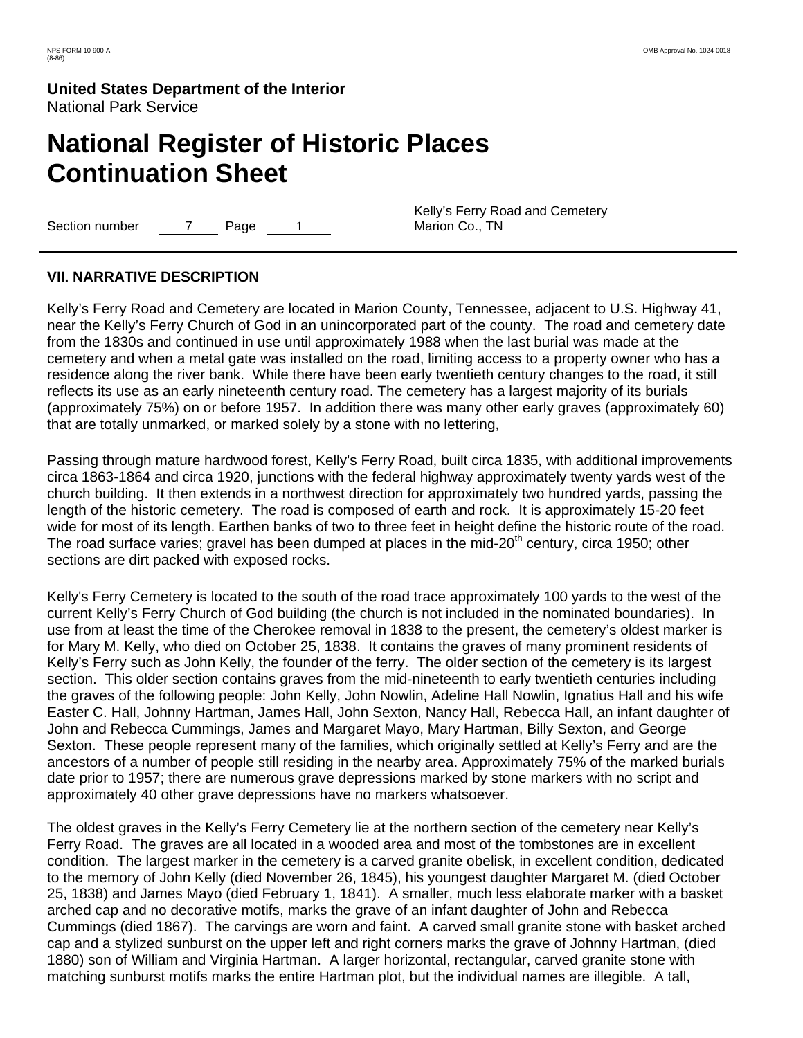# **National Register of Historic Places Continuation Sheet**

Section number 7 Page 1

Kelly's Ferry Road and Cemetery Marion Co., TN

# **VII. NARRATIVE DESCRIPTION**

Kelly's Ferry Road and Cemetery are located in Marion County, Tennessee, adjacent to U.S. Highway 41, near the Kelly's Ferry Church of God in an unincorporated part of the county. The road and cemetery date from the 1830s and continued in use until approximately 1988 when the last burial was made at the cemetery and when a metal gate was installed on the road, limiting access to a property owner who has a residence along the river bank. While there have been early twentieth century changes to the road, it still reflects its use as an early nineteenth century road. The cemetery has a largest majority of its burials (approximately 75%) on or before 1957. In addition there was many other early graves (approximately 60) that are totally unmarked, or marked solely by a stone with no lettering,

Passing through mature hardwood forest, Kelly's Ferry Road, built circa 1835, with additional improvements circa 1863-1864 and circa 1920, junctions with the federal highway approximately twenty yards west of the church building. It then extends in a northwest direction for approximately two hundred yards, passing the length of the historic cemetery. The road is composed of earth and rock. It is approximately 15-20 feet wide for most of its length. Earthen banks of two to three feet in height define the historic route of the road. The road surface varies; gravel has been dumped at places in the mid-20<sup>th</sup> century, circa 1950; other sections are dirt packed with exposed rocks.

Kelly's Ferry Cemetery is located to the south of the road trace approximately 100 yards to the west of the current Kelly's Ferry Church of God building (the church is not included in the nominated boundaries). In use from at least the time of the Cherokee removal in 1838 to the present, the cemetery's oldest marker is for Mary M. Kelly, who died on October 25, 1838. It contains the graves of many prominent residents of Kelly's Ferry such as John Kelly, the founder of the ferry. The older section of the cemetery is its largest section. This older section contains graves from the mid-nineteenth to early twentieth centuries including the graves of the following people: John Kelly, John Nowlin, Adeline Hall Nowlin, Ignatius Hall and his wife Easter C. Hall, Johnny Hartman, James Hall, John Sexton, Nancy Hall, Rebecca Hall, an infant daughter of John and Rebecca Cummings, James and Margaret Mayo, Mary Hartman, Billy Sexton, and George Sexton. These people represent many of the families, which originally settled at Kelly's Ferry and are the ancestors of a number of people still residing in the nearby area. Approximately 75% of the marked burials date prior to 1957; there are numerous grave depressions marked by stone markers with no script and approximately 40 other grave depressions have no markers whatsoever.

The oldest graves in the Kelly's Ferry Cemetery lie at the northern section of the cemetery near Kelly's Ferry Road. The graves are all located in a wooded area and most of the tombstones are in excellent condition. The largest marker in the cemetery is a carved granite obelisk, in excellent condition, dedicated to the memory of John Kelly (died November 26, 1845), his youngest daughter Margaret M. (died October 25, 1838) and James Mayo (died February 1, 1841). A smaller, much less elaborate marker with a basket arched cap and no decorative motifs, marks the grave of an infant daughter of John and Rebecca Cummings (died 1867). The carvings are worn and faint. A carved small granite stone with basket arched cap and a stylized sunburst on the upper left and right corners marks the grave of Johnny Hartman, (died 1880) son of William and Virginia Hartman. A larger horizontal, rectangular, carved granite stone with matching sunburst motifs marks the entire Hartman plot, but the individual names are illegible. A tall,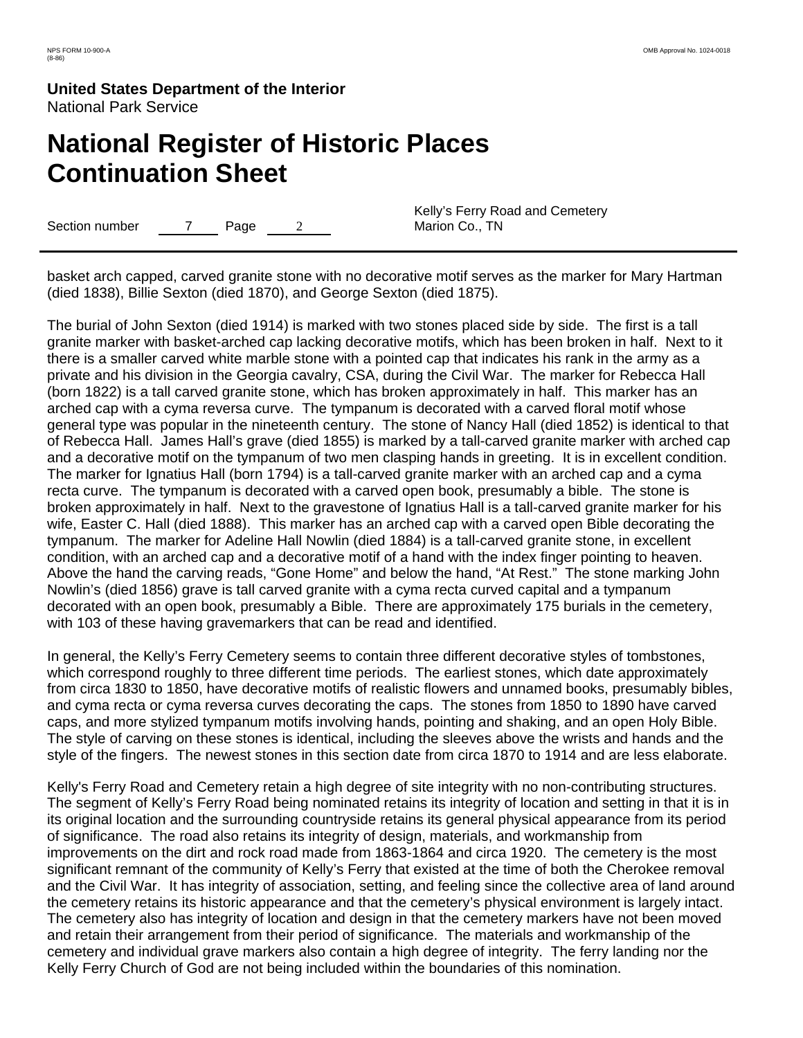# **National Register of Historic Places Continuation Sheet**

Section number  $\overline{7}$  Page 2

Kelly's Ferry Road and Cemetery Marion Co., TN

basket arch capped, carved granite stone with no decorative motif serves as the marker for Mary Hartman (died 1838), Billie Sexton (died 1870), and George Sexton (died 1875).

The burial of John Sexton (died 1914) is marked with two stones placed side by side. The first is a tall granite marker with basket-arched cap lacking decorative motifs, which has been broken in half. Next to it there is a smaller carved white marble stone with a pointed cap that indicates his rank in the army as a private and his division in the Georgia cavalry, CSA, during the Civil War. The marker for Rebecca Hall (born 1822) is a tall carved granite stone, which has broken approximately in half. This marker has an arched cap with a cyma reversa curve. The tympanum is decorated with a carved floral motif whose general type was popular in the nineteenth century. The stone of Nancy Hall (died 1852) is identical to that of Rebecca Hall. James Hall's grave (died 1855) is marked by a tall-carved granite marker with arched cap and a decorative motif on the tympanum of two men clasping hands in greeting. It is in excellent condition. The marker for Ignatius Hall (born 1794) is a tall-carved granite marker with an arched cap and a cyma recta curve. The tympanum is decorated with a carved open book, presumably a bible. The stone is broken approximately in half. Next to the gravestone of Ignatius Hall is a tall-carved granite marker for his wife, Easter C. Hall (died 1888). This marker has an arched cap with a carved open Bible decorating the tympanum. The marker for Adeline Hall Nowlin (died 1884) is a tall-carved granite stone, in excellent condition, with an arched cap and a decorative motif of a hand with the index finger pointing to heaven. Above the hand the carving reads, "Gone Home" and below the hand, "At Rest." The stone marking John Nowlin's (died 1856) grave is tall carved granite with a cyma recta curved capital and a tympanum decorated with an open book, presumably a Bible. There are approximately 175 burials in the cemetery, with 103 of these having gravemarkers that can be read and identified.

In general, the Kelly's Ferry Cemetery seems to contain three different decorative styles of tombstones, which correspond roughly to three different time periods. The earliest stones, which date approximately from circa 1830 to 1850, have decorative motifs of realistic flowers and unnamed books, presumably bibles, and cyma recta or cyma reversa curves decorating the caps. The stones from 1850 to 1890 have carved caps, and more stylized tympanum motifs involving hands, pointing and shaking, and an open Holy Bible. The style of carving on these stones is identical, including the sleeves above the wrists and hands and the style of the fingers. The newest stones in this section date from circa 1870 to 1914 and are less elaborate.

Kelly's Ferry Road and Cemetery retain a high degree of site integrity with no non-contributing structures. The segment of Kelly's Ferry Road being nominated retains its integrity of location and setting in that it is in its original location and the surrounding countryside retains its general physical appearance from its period of significance. The road also retains its integrity of design, materials, and workmanship from improvements on the dirt and rock road made from 1863-1864 and circa 1920. The cemetery is the most significant remnant of the community of Kelly's Ferry that existed at the time of both the Cherokee removal and the Civil War. It has integrity of association, setting, and feeling since the collective area of land around the cemetery retains its historic appearance and that the cemetery's physical environment is largely intact. The cemetery also has integrity of location and design in that the cemetery markers have not been moved and retain their arrangement from their period of significance. The materials and workmanship of the cemetery and individual grave markers also contain a high degree of integrity. The ferry landing nor the Kelly Ferry Church of God are not being included within the boundaries of this nomination.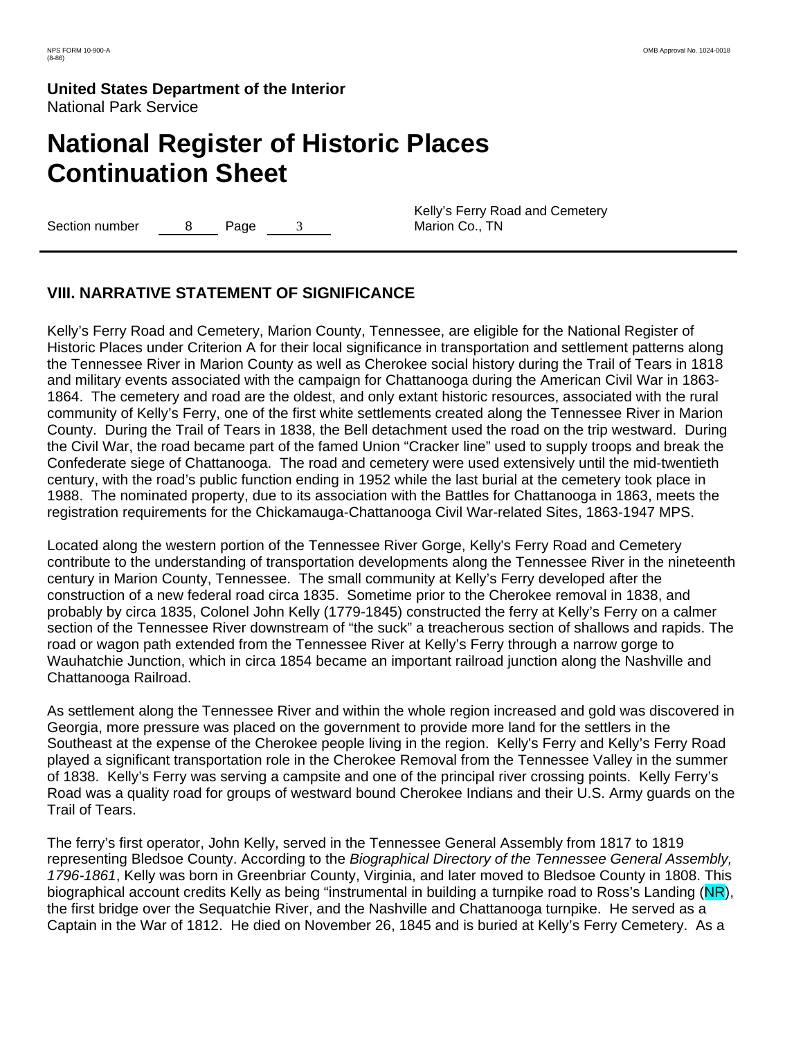# **National Register of Historic Places Continuation Sheet**

Section number  $\qquad 8$  Page 3

Kelly's Ferry Road and Cemetery Marion Co., TN

# **VIII. NARRATIVE STATEMENT OF SIGNIFICANCE**

Kelly's Ferry Road and Cemetery, Marion County, Tennessee, are eligible for the National Register of Historic Places under Criterion A for their local significance in transportation and settlement patterns along the Tennessee River in Marion County as well as Cherokee social history during the Trail of Tears in 1818 and military events associated with the campaign for Chattanooga during the American Civil War in 1863- 1864. The cemetery and road are the oldest, and only extant historic resources, associated with the rural community of Kelly's Ferry, one of the first white settlements created along the Tennessee River in Marion County. During the Trail of Tears in 1838, the Bell detachment used the road on the trip westward. During the Civil War, the road became part of the famed Union "Cracker line" used to supply troops and break the Confederate siege of Chattanooga. The road and cemetery were used extensively until the mid-twentieth century, with the road's public function ending in 1952 while the last burial at the cemetery took place in 1988. The nominated property, due to its association with the Battles for Chattanooga in 1863, meets the registration requirements for the Chickamauga-Chattanooga Civil War-related Sites, 1863-1947 MPS.

Located along the western portion of the Tennessee River Gorge, Kelly's Ferry Road and Cemetery contribute to the understanding of transportation developments along the Tennessee River in the nineteenth century in Marion County, Tennessee. The small community at Kelly's Ferry developed after the construction of a new federal road circa 1835. Sometime prior to the Cherokee removal in 1838, and probably by circa 1835, Colonel John Kelly (1779-1845) constructed the ferry at Kelly's Ferry on a calmer section of the Tennessee River downstream of "the suck" a treacherous section of shallows and rapids. The road or wagon path extended from the Tennessee River at Kelly's Ferry through a narrow gorge to Wauhatchie Junction, which in circa 1854 became an important railroad junction along the Nashville and Chattanooga Railroad.

As settlement along the Tennessee River and within the whole region increased and gold was discovered in Georgia, more pressure was placed on the government to provide more land for the settlers in the Southeast at the expense of the Cherokee people living in the region. Kelly's Ferry and Kelly's Ferry Road played a significant transportation role in the Cherokee Removal from the Tennessee Valley in the summer of 1838. Kelly's Ferry was serving a campsite and one of the principal river crossing points. Kelly Ferry's Road was a quality road for groups of westward bound Cherokee Indians and their U.S. Army guards on the Trail of Tears.

The ferry's first operator, John Kelly, served in the Tennessee General Assembly from 1817 to 1819 representing Bledsoe County. According to the *Biographical Directory of the Tennessee General Assembly, 1796-1861*, Kelly was born in Greenbriar County, Virginia, and later moved to Bledsoe County in 1808. This biographical account credits Kelly as being "instrumental in building a turnpike road to Ross's Landing (NR), the first bridge over the Sequatchie River, and the Nashville and Chattanooga turnpike. He served as a Captain in the War of 1812. He died on November 26, 1845 and is buried at Kelly's Ferry Cemetery. As a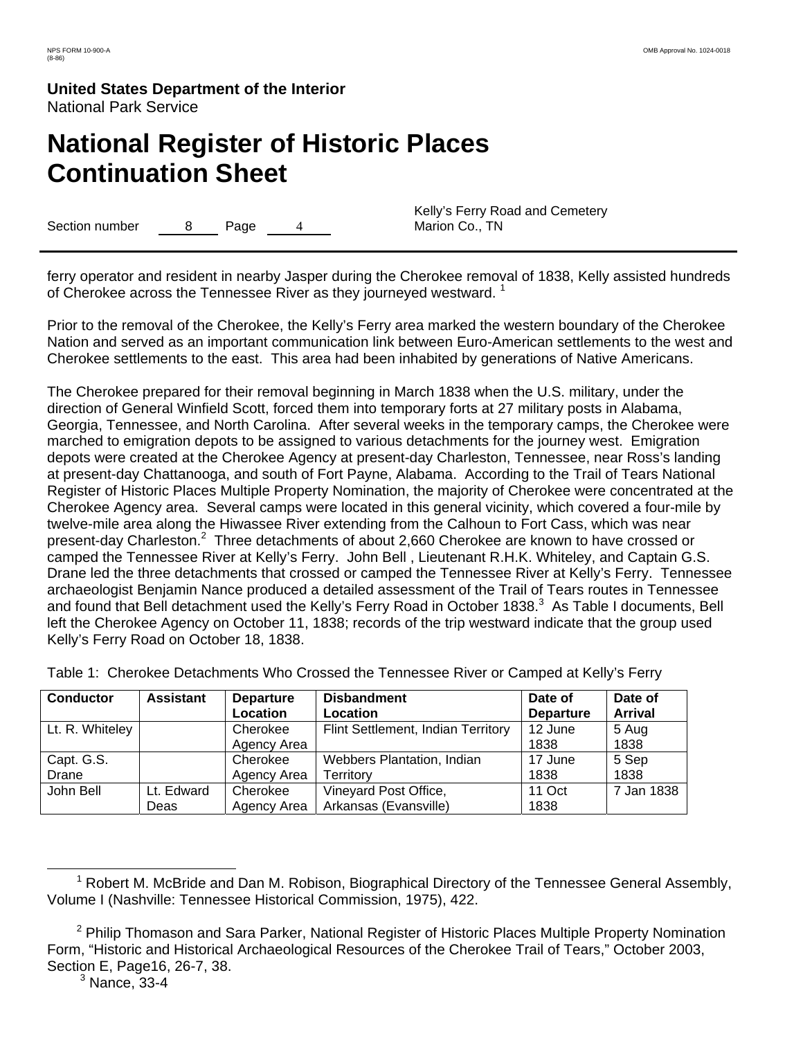# **National Register of Historic Places Continuation Sheet**

Section number 8 Page 4

Kelly's Ferry Road and Cemetery Marion Co., TN

ferry operator and resident in nearby Jasper during the Cherokee removal of 1838, Kelly assisted hundreds of Cherokee across the Tennessee River as they journeyed westward.<sup>1</sup>

Prior to the removal of the Cherokee, the Kelly's Ferry area marked the western boundary of the Cherokee Nation and served as an important communication link between Euro-American settlements to the west and Cherokee settlements to the east. This area had been inhabited by generations of Native Americans.

The Cherokee prepared for their removal beginning in March 1838 when the U.S. military, under the direction of General Winfield Scott, forced them into temporary forts at 27 military posts in Alabama, Georgia, Tennessee, and North Carolina. After several weeks in the temporary camps, the Cherokee were marched to emigration depots to be assigned to various detachments for the journey west. Emigration depots were created at the Cherokee Agency at present-day Charleston, Tennessee, near Ross's landing at present-day Chattanooga, and south of Fort Payne, Alabama. According to the Trail of Tears National Register of Historic Places Multiple Property Nomination, the majority of Cherokee were concentrated at the Cherokee Agency area. Several camps were located in this general vicinity, which covered a four-mile by twelve-mile area along the Hiwassee River extending from the Calhoun to Fort Cass, which was near present-day Charleston.<sup>2</sup> Three detachments of about 2,660 Cherokee are known to have crossed or camped the Tennessee River at Kelly's Ferry. John Bell , Lieutenant R.H.K. Whiteley, and Captain G.S. Drane led the three detachments that crossed or camped the Tennessee River at Kelly's Ferry. Tennessee archaeologist Benjamin Nance produced a detailed assessment of the Trail of Tears routes in Tennessee and found that Bell detachment used the Kelly's Ferry Road in October 1838.<sup>3</sup> As Table I documents, Bell left the Cherokee Agency on October 11, 1838; records of the trip westward indicate that the group used Kelly's Ferry Road on October 18, 1838.

| <b>Conductor</b> | <b>Assistant</b> | <b>Departure</b> | <b>Disbandment</b>                 | Date of          | Date of        |
|------------------|------------------|------------------|------------------------------------|------------------|----------------|
|                  |                  | Location         | Location                           | <b>Departure</b> | <b>Arrival</b> |
| Lt. R. Whiteley  |                  | Cherokee         | Flint Settlement, Indian Territory | 12 June          | 5 Aug          |
|                  |                  | Agency Area      |                                    | 1838             | 1838           |
| Capt. G.S.       |                  | Cherokee         | <b>Webbers Plantation, Indian</b>  | 17 June          | 5 Sep          |
| Drane            |                  | Agency Area      | Territory                          | 1838             | 1838           |
| John Bell        | Lt. Edward       | Cherokee         | Vineyard Post Office,              | 11 Oct           | 7 Jan 1838     |
|                  | Deas             | Agency Area      | Arkansas (Evansville)              | 1838             |                |

Table 1: Cherokee Detachments Who Crossed the Tennessee River or Camped at Kelly's Ferry

<sup>1</sup>  $^1$  Robert M. McBride and Dan M. Robison, Biographical Directory of the Tennessee General Assembly, Volume I (Nashville: Tennessee Historical Commission, 1975), 422.

<sup>&</sup>lt;sup>2</sup> Philip Thomason and Sara Parker, National Register of Historic Places Multiple Property Nomination Form, "Historic and Historical Archaeological Resources of the Cherokee Trail of Tears," October 2003, Section E, Page16, 26-7, 38.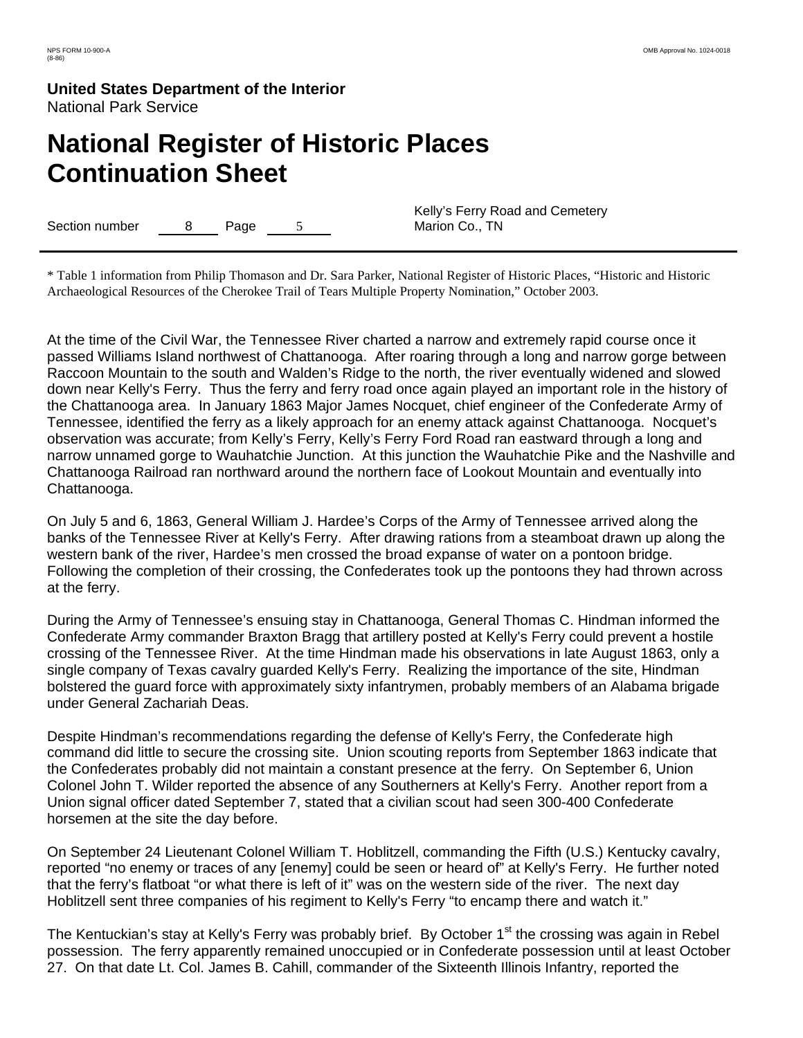# **National Register of Historic Places Continuation Sheet**

Section number 8 Page 5

Kelly's Ferry Road and Cemetery Marion Co., TN

\* Table 1 information from Philip Thomason and Dr. Sara Parker, National Register of Historic Places, "Historic and Historic Archaeological Resources of the Cherokee Trail of Tears Multiple Property Nomination," October 2003.

At the time of the Civil War, the Tennessee River charted a narrow and extremely rapid course once it passed Williams Island northwest of Chattanooga. After roaring through a long and narrow gorge between Raccoon Mountain to the south and Walden's Ridge to the north, the river eventually widened and slowed down near Kelly's Ferry. Thus the ferry and ferry road once again played an important role in the history of the Chattanooga area. In January 1863 Major James Nocquet, chief engineer of the Confederate Army of Tennessee, identified the ferry as a likely approach for an enemy attack against Chattanooga. Nocquet's observation was accurate; from Kelly's Ferry, Kelly's Ferry Ford Road ran eastward through a long and narrow unnamed gorge to Wauhatchie Junction. At this junction the Wauhatchie Pike and the Nashville and Chattanooga Railroad ran northward around the northern face of Lookout Mountain and eventually into Chattanooga.

On July 5 and 6, 1863, General William J. Hardee's Corps of the Army of Tennessee arrived along the banks of the Tennessee River at Kelly's Ferry. After drawing rations from a steamboat drawn up along the western bank of the river, Hardee's men crossed the broad expanse of water on a pontoon bridge. Following the completion of their crossing, the Confederates took up the pontoons they had thrown across at the ferry.

During the Army of Tennessee's ensuing stay in Chattanooga, General Thomas C. Hindman informed the Confederate Army commander Braxton Bragg that artillery posted at Kelly's Ferry could prevent a hostile crossing of the Tennessee River. At the time Hindman made his observations in late August 1863, only a single company of Texas cavalry guarded Kelly's Ferry. Realizing the importance of the site, Hindman bolstered the guard force with approximately sixty infantrymen, probably members of an Alabama brigade under General Zachariah Deas.

Despite Hindman's recommendations regarding the defense of Kelly's Ferry, the Confederate high command did little to secure the crossing site. Union scouting reports from September 1863 indicate that the Confederates probably did not maintain a constant presence at the ferry. On September 6, Union Colonel John T. Wilder reported the absence of any Southerners at Kelly's Ferry. Another report from a Union signal officer dated September 7, stated that a civilian scout had seen 300-400 Confederate horsemen at the site the day before.

On September 24 Lieutenant Colonel William T. Hoblitzell, commanding the Fifth (U.S.) Kentucky cavalry, reported "no enemy or traces of any [enemy] could be seen or heard of" at Kelly's Ferry. He further noted that the ferry's flatboat "or what there is left of it" was on the western side of the river. The next day Hoblitzell sent three companies of his regiment to Kelly's Ferry "to encamp there and watch it."

The Kentuckian's stay at Kelly's Ferry was probably brief. By October 1<sup>st</sup> the crossing was again in Rebel possession. The ferry apparently remained unoccupied or in Confederate possession until at least October 27. On that date Lt. Col. James B. Cahill, commander of the Sixteenth Illinois Infantry, reported the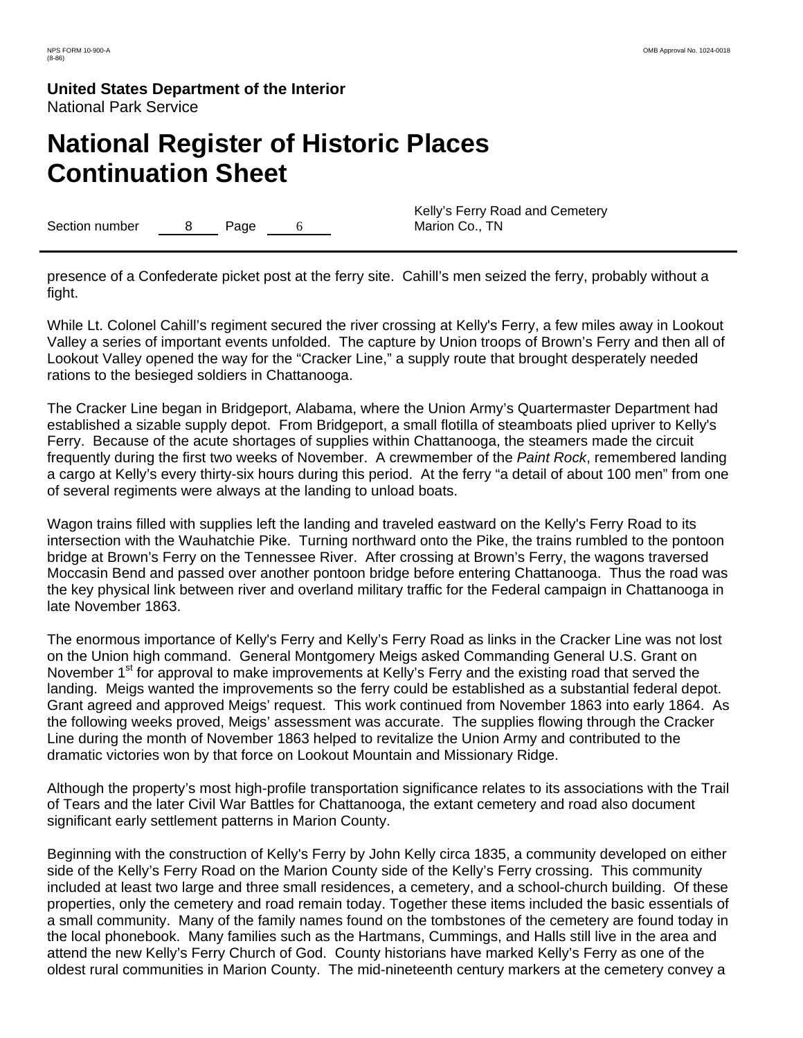# **National Register of Historic Places Continuation Sheet**

Section number a 8 Page 6

Kelly's Ferry Road and Cemetery Marion Co., TN

presence of a Confederate picket post at the ferry site. Cahill's men seized the ferry, probably without a fight.

While Lt. Colonel Cahill's regiment secured the river crossing at Kelly's Ferry, a few miles away in Lookout Valley a series of important events unfolded. The capture by Union troops of Brown's Ferry and then all of Lookout Valley opened the way for the "Cracker Line," a supply route that brought desperately needed rations to the besieged soldiers in Chattanooga.

The Cracker Line began in Bridgeport, Alabama, where the Union Army's Quartermaster Department had established a sizable supply depot. From Bridgeport, a small flotilla of steamboats plied upriver to Kelly's Ferry. Because of the acute shortages of supplies within Chattanooga, the steamers made the circuit frequently during the first two weeks of November. A crewmember of the *Paint Rock*, remembered landing a cargo at Kelly's every thirty-six hours during this period. At the ferry "a detail of about 100 men" from one of several regiments were always at the landing to unload boats.

Wagon trains filled with supplies left the landing and traveled eastward on the Kelly's Ferry Road to its intersection with the Wauhatchie Pike. Turning northward onto the Pike, the trains rumbled to the pontoon bridge at Brown's Ferry on the Tennessee River. After crossing at Brown's Ferry, the wagons traversed Moccasin Bend and passed over another pontoon bridge before entering Chattanooga. Thus the road was the key physical link between river and overland military traffic for the Federal campaign in Chattanooga in late November 1863.

The enormous importance of Kelly's Ferry and Kelly's Ferry Road as links in the Cracker Line was not lost on the Union high command. General Montgomery Meigs asked Commanding General U.S. Grant on November 1<sup>st</sup> for approval to make improvements at Kelly's Ferry and the existing road that served the landing. Meigs wanted the improvements so the ferry could be established as a substantial federal depot. Grant agreed and approved Meigs' request. This work continued from November 1863 into early 1864. As the following weeks proved, Meigs' assessment was accurate. The supplies flowing through the Cracker Line during the month of November 1863 helped to revitalize the Union Army and contributed to the dramatic victories won by that force on Lookout Mountain and Missionary Ridge.

Although the property's most high-profile transportation significance relates to its associations with the Trail of Tears and the later Civil War Battles for Chattanooga, the extant cemetery and road also document significant early settlement patterns in Marion County.

Beginning with the construction of Kelly's Ferry by John Kelly circa 1835, a community developed on either side of the Kelly's Ferry Road on the Marion County side of the Kelly's Ferry crossing. This community included at least two large and three small residences, a cemetery, and a school-church building. Of these properties, only the cemetery and road remain today. Together these items included the basic essentials of a small community. Many of the family names found on the tombstones of the cemetery are found today in the local phonebook. Many families such as the Hartmans, Cummings, and Halls still live in the area and attend the new Kelly's Ferry Church of God. County historians have marked Kelly's Ferry as one of the oldest rural communities in Marion County. The mid-nineteenth century markers at the cemetery convey a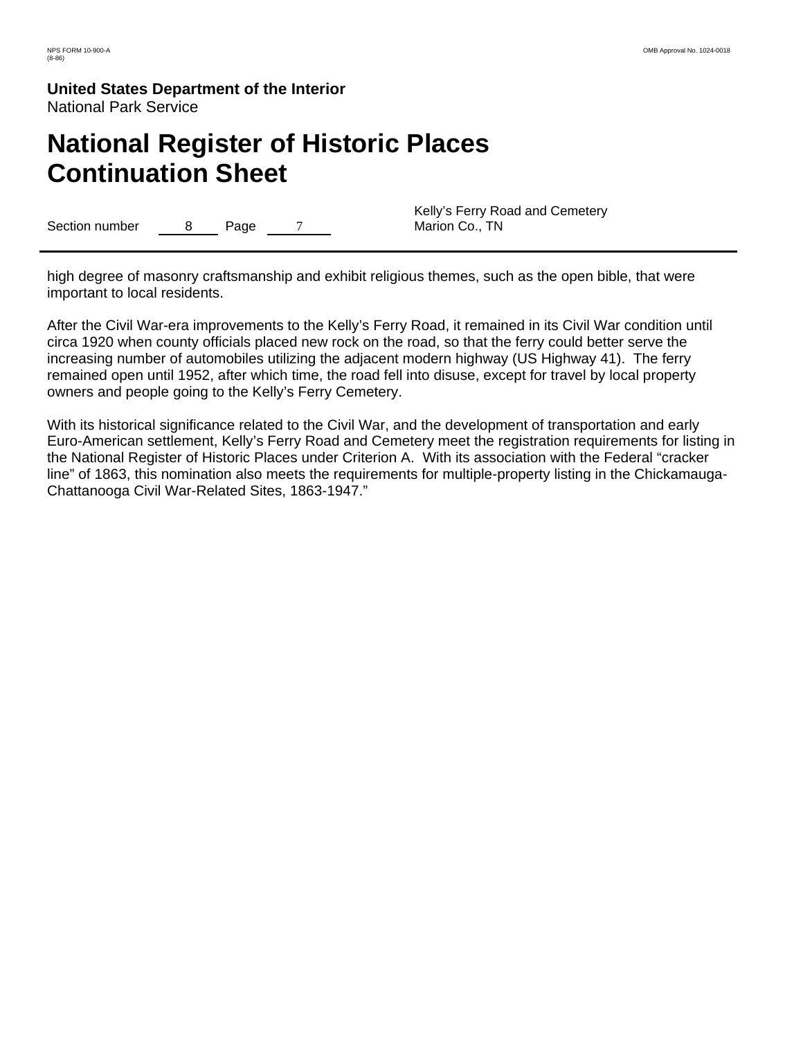# **National Register of Historic Places Continuation Sheet**

Section number 8 Page 7

Kelly's Ferry Road and Cemetery Marion Co., TN

high degree of masonry craftsmanship and exhibit religious themes, such as the open bible, that were important to local residents.

After the Civil War-era improvements to the Kelly's Ferry Road, it remained in its Civil War condition until circa 1920 when county officials placed new rock on the road, so that the ferry could better serve the increasing number of automobiles utilizing the adjacent modern highway (US Highway 41). The ferry remained open until 1952, after which time, the road fell into disuse, except for travel by local property owners and people going to the Kelly's Ferry Cemetery.

With its historical significance related to the Civil War, and the development of transportation and early Euro-American settlement, Kelly's Ferry Road and Cemetery meet the registration requirements for listing in the National Register of Historic Places under Criterion A. With its association with the Federal "cracker line" of 1863, this nomination also meets the requirements for multiple-property listing in the Chickamauga-Chattanooga Civil War-Related Sites, 1863-1947."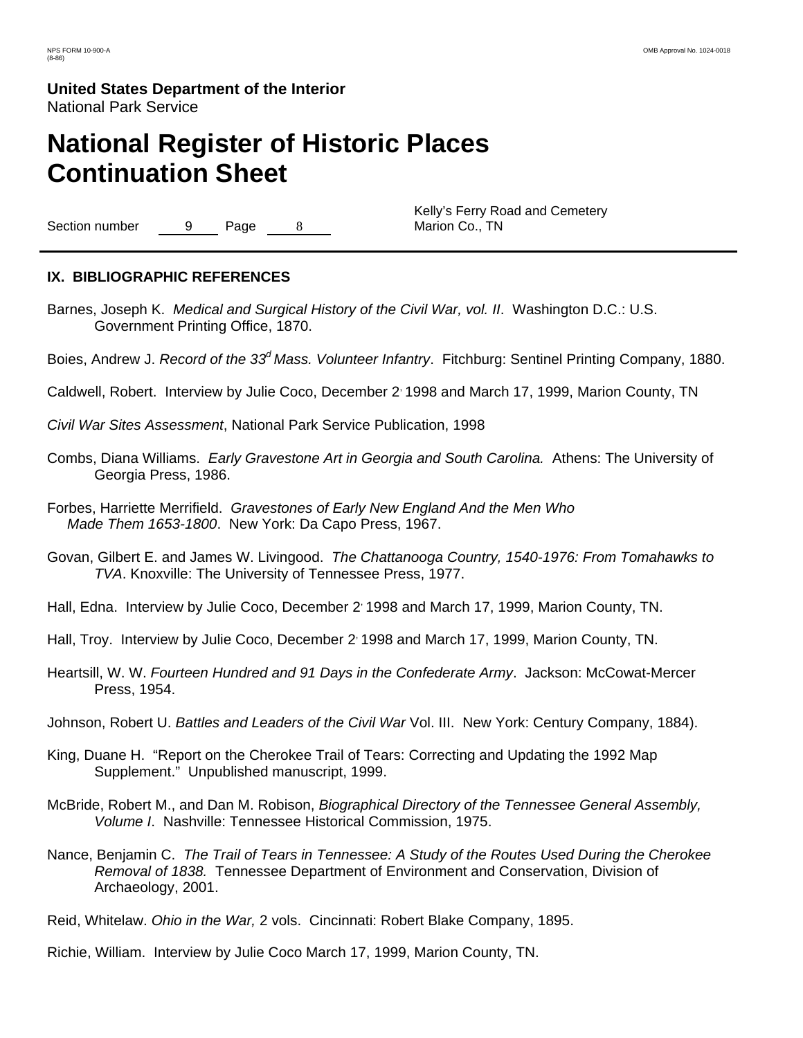# **National Register of Historic Places Continuation Sheet**

Section number 9 Page 8

Kelly's Ferry Road and Cemetery Marion Co., TN

### **IX. BIBLIOGRAPHIC REFERENCES**

- Barnes, Joseph K. *Medical and Surgical History of the Civil War, vol. II*. Washington D.C.: U.S. Government Printing Office, 1870.
- Boies, Andrew J. *Record of the 33d Mass. Volunteer Infantry*. Fitchburg: Sentinel Printing Company, 1880.
- Caldwell, Robert. Interview by Julie Coco, December 2, 1998 and March 17, 1999, Marion County, TN
- *Civil War Sites Assessment*, National Park Service Publication, 1998
- Combs, Diana Williams. *Early Gravestone Art in Georgia and South Carolina.* Athens: The University of Georgia Press, 1986.
- Forbes, Harriette Merrifield. *Gravestones of Early New England And the Men Who Made Them 1653-1800*. New York: Da Capo Press, 1967.
- Govan, Gilbert E. and James W. Livingood. *The Chattanooga Country, 1540-1976: From Tomahawks to TVA*. Knoxville: The University of Tennessee Press, 1977.
- Hall, Edna. Interview by Julie Coco, December 2: 1998 and March 17, 1999, Marion County, TN.
- Hall, Troy. Interview by Julie Coco, December 2: 1998 and March 17, 1999, Marion County, TN.
- Heartsill, W. W. *Fourteen Hundred and 91 Days in the Confederate Army*. Jackson: McCowat-Mercer Press, 1954.
- Johnson, Robert U. *Battles and Leaders of the Civil War* Vol. III. New York: Century Company, 1884).
- King, Duane H. "Report on the Cherokee Trail of Tears: Correcting and Updating the 1992 Map Supplement." Unpublished manuscript, 1999.
- McBride, Robert M., and Dan M. Robison, *Biographical Directory of the Tennessee General Assembly, Volume I*. Nashville: Tennessee Historical Commission, 1975.
- Nance, Benjamin C. *The Trail of Tears in Tennessee: A Study of the Routes Used During the Cherokee Removal of 1838.* Tennessee Department of Environment and Conservation, Division of Archaeology, 2001.
- Reid, Whitelaw. *Ohio in the War,* 2 vols. Cincinnati: Robert Blake Company, 1895.
- Richie, William. Interview by Julie Coco March 17, 1999, Marion County, TN.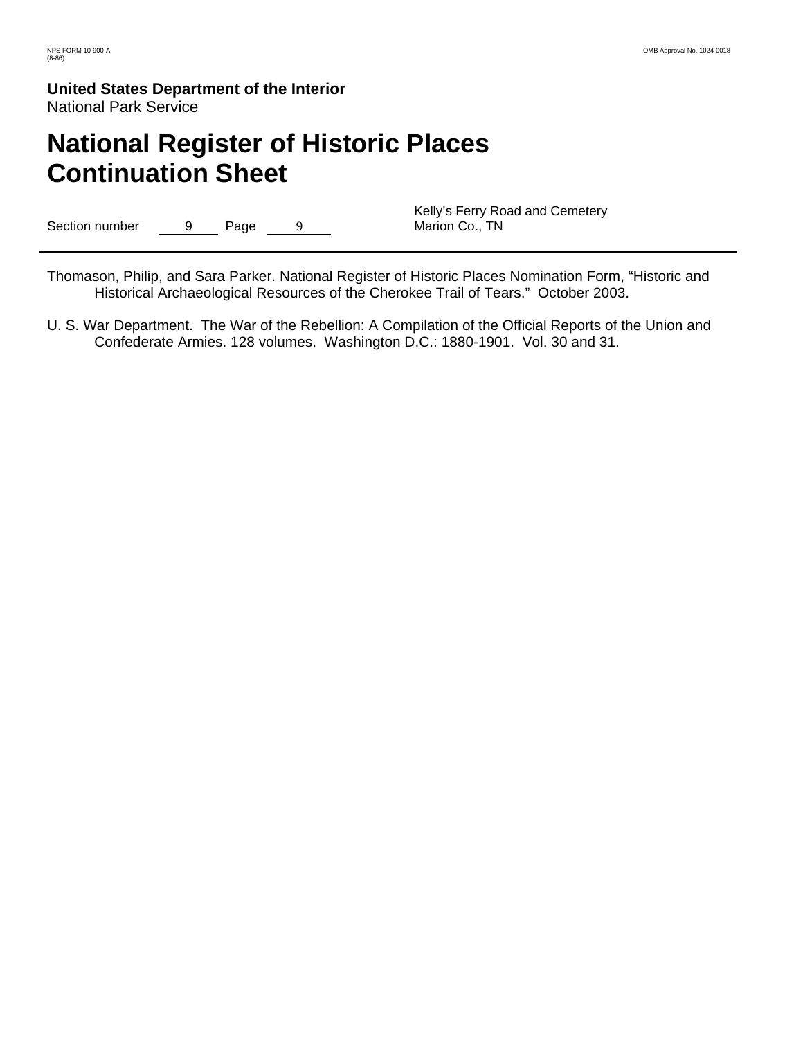# **National Register of Historic Places Continuation Sheet**

Section number 9 Page 9

Kelly's Ferry Road and Cemetery Marion Co., TN

Thomason, Philip, and Sara Parker. National Register of Historic Places Nomination Form, "Historic and Historical Archaeological Resources of the Cherokee Trail of Tears." October 2003.

U. S. War Department. The War of the Rebellion: A Compilation of the Official Reports of the Union and Confederate Armies. 128 volumes. Washington D.C.: 1880-1901. Vol. 30 and 31.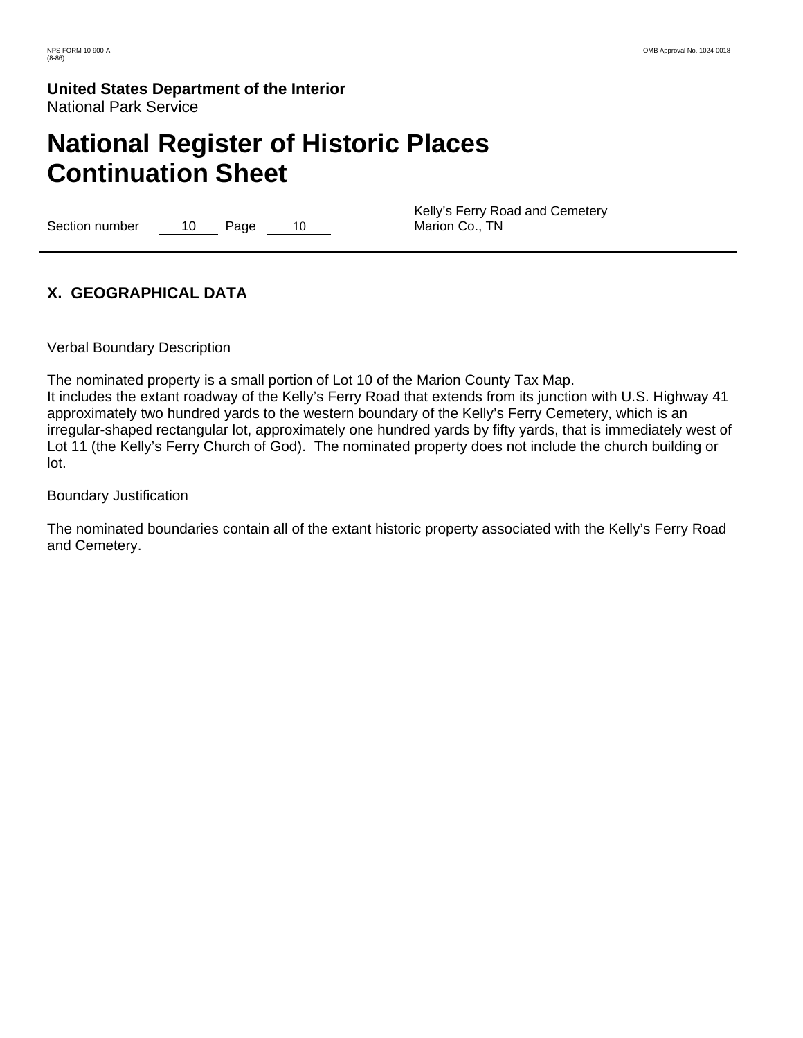# **National Register of Historic Places Continuation Sheet**

Section number 10 Page 10

Kelly's Ferry Road and Cemetery Marion Co., TN

# **X. GEOGRAPHICAL DATA**

Verbal Boundary Description

The nominated property is a small portion of Lot 10 of the Marion County Tax Map.

It includes the extant roadway of the Kelly's Ferry Road that extends from its junction with U.S. Highway 41 approximately two hundred yards to the western boundary of the Kelly's Ferry Cemetery, which is an irregular-shaped rectangular lot, approximately one hundred yards by fifty yards, that is immediately west of Lot 11 (the Kelly's Ferry Church of God). The nominated property does not include the church building or lot.

### Boundary Justification

The nominated boundaries contain all of the extant historic property associated with the Kelly's Ferry Road and Cemetery.